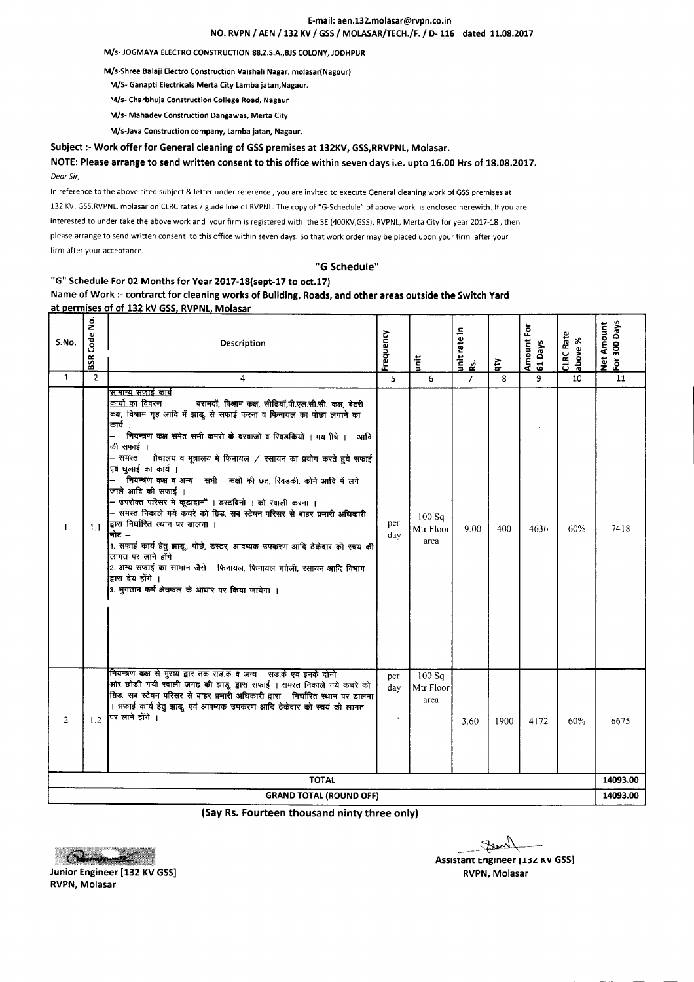#### E-mail: aen.132.molasar@rvpn.co.in NO. RVPN/ AEN / 132 KV / GSS/ MOLASAR/TECH./F. / 0- 116 dated 11.08.2017

*MIs·* JOGMAYA ELECTROCONSTRUCTION 88,Z.S.A.,BJS COLONY, JODHPUR

M/s·Shree Balaji Electro Construction Vaishali Nagar, molasar(Nagour)

*M/S-* Ganapti Electricals Merta City Lamba jatan,Nagaur.

*~~/s-*Charbhuja Construction College Road, Nagaur

*M/s-* Mahadev Construction Dangawas, Merta City

M/s·Java Construction company, Lamba jatan, Nagaur.

Subject :- Work offer for General cleaning of GSS premises at 132KV, GSS, RRVPNL, Molasar.

NOTE: Please arrange to send written consent to this office within seven days i.e. upto 16.00 Hrs of 18.08.2017. *Dear Sir,*

In reference to the above cited subject & letter under reference, you are invited to execute General cleaning work of GSS premises at 132 KV, GSS,RVPNL, molasar on CLRC rates / guide line of RVPNL. The copy of "G-Schedule" of above work is enclosed herewith. If you are interested to under take the above work and your firm is registered with the SE(400KV,GSS), RVPNL, Merta City for year 2017-18, then please arrange to send written consent to this office within seven days. So that work order may be placed upon your firm after your firm after your acceptance.

#### "G Schedule"

### "G" Schedule For 02 Months for Year 2017-18(sept-17 to oct.17)

Name of Work :- contrarct for cleaning works of Building, Roads, and other areas outside the Switch Yard at permises of of 132 kV GSS, RVPNL, Molasar

| S.No.          | Code No.<br>BSR | Description                                                                                                                                                                                                                                                                                                                                                                                                                                                                                                                                                                                                                                                                                                                                                                                                                                                                                                        | Frequency  | $\ddot{\tilde{\mathsf{s}}}$ | unit rate in<br>ż. | $\ddot{\mathbf{r}}$ | Amount For<br>61 Days | CLRC Rate<br>above % | For 300 Days<br>Net Amount |
|----------------|-----------------|--------------------------------------------------------------------------------------------------------------------------------------------------------------------------------------------------------------------------------------------------------------------------------------------------------------------------------------------------------------------------------------------------------------------------------------------------------------------------------------------------------------------------------------------------------------------------------------------------------------------------------------------------------------------------------------------------------------------------------------------------------------------------------------------------------------------------------------------------------------------------------------------------------------------|------------|-----------------------------|--------------------|---------------------|-----------------------|----------------------|----------------------------|
| $\mathbf{1}$   | $\overline{2}$  | 4                                                                                                                                                                                                                                                                                                                                                                                                                                                                                                                                                                                                                                                                                                                                                                                                                                                                                                                  | 5          | 6                           | $\overline{7}$     | 8                   | 9                     | 10                   | 11                         |
| $\mathbf{I}$   | 1.1             | सामान्य सफाई कार्य<br>कार्यो का विवरण<br>बरामदों, विश्राम कक्ष, सीढियॉ,पी.एल.सी.सी. कक्ष, बेटरी<br>कक्ष, विश्राम गृह आदि में झाडू, से सफाई करना व फिनायल का पोछा लगाने का<br>कार्य ।<br>नियन्त्रण कक्ष समेत सभी कमरो के दरवाजो व रिवडकियों । मय ीषे । आदि<br>की सफाई ।<br>- समस्त<br>गैचालय व मूत्रालय मे फिनायल / रसायन का प्रयोग करते हुये सफाई<br>एवं घुलाई का कार्य ।<br>नियन्त्रण कक्ष व अन्य सभी कक्षो की छत, रिवडकी, कोने आदि में लगे<br>जाले आदि की सफाई ।<br>– उपरोक्त परिसर मे कूडादानों । डस्टबिनो । को रवाली करना ।<br>– समस्त निकाले गये कचरे को ग्रिड. सब स्टेषन परिसर से बाहर प्रमारी अधिकारी<br>द्वारा निर्घारित स्थान पर डालना ।<br>नोट $-$<br>1. सफाई कार्य हेतु झाडू, पोछे, डस्टर, आक्ष्यक उपकरण आदि ठेकेदार को स्वयं की<br>लागत पर लाने होंगे ।<br>2. अन्य सफाई का सामान जैसे किनायल, फिनायल गाोली, रसायन आदि विभाग<br>द्वारा देय होंगे ।<br>3. भुगतान फर्ष क्षेत्रफल के आधार पर किया जायेगा । | per<br>day | 100Sq<br>Mtr Floor<br>area  | 19.00              | 400                 | 4636                  | 60%                  | 7418                       |
| $\overline{2}$ | 1.2             | नियन्त्रण कक्ष से मुख्य द्वार तक सड़क व अन्य सड़के एवं इनके दोनो<br>ओर छोड़ी गयी रवाली जगह की झाडू, द्वारा सफाई । समस्त निकाले गये कचरे को<br>ग्रिड. सब स्टेषन परिसर से बाहर प्रभारी अधिकारी द्वारा   निर्घारित स्थान पर डालना<br>। सफाई कार्य हेतु झाडू, एवं आवष्यक उपकरण आदि ठेकेदार को स्वयं की लागत<br>पिर लाने होंगे ।                                                                                                                                                                                                                                                                                                                                                                                                                                                                                                                                                                                        | per<br>day | 100Sq<br>Mtr Floor<br>area  | 3.60               | 1900                | 4172                  | 60%                  | 6675                       |
|                |                 | <b>TOTAL</b>                                                                                                                                                                                                                                                                                                                                                                                                                                                                                                                                                                                                                                                                                                                                                                                                                                                                                                       |            |                             |                    |                     |                       |                      | 14093.00                   |
|                |                 | <b>GRAND TOTAL (ROUND OFF)</b>                                                                                                                                                                                                                                                                                                                                                                                                                                                                                                                                                                                                                                                                                                                                                                                                                                                                                     |            |                             |                    |                     |                       |                      | 14093.00                   |

(Say Rs.Fourteen thousand ninty three only)



 $\sqrt{2}$ 

Assistant Engineer [132 KV GSS]

Junior Engineer [132 KV GSS] ROW RAND CONSIDERING THE RESEARCH CONSIDERING THE RESEARCH CONSIDERING THE RESEARCH CONSIDERING THE RESEARCH CONSIDERING THE RESEARCH CONSIDERING THE RESEARCH CONSIDERING THE RESEARCH CONSIDERI RVPN, Molasar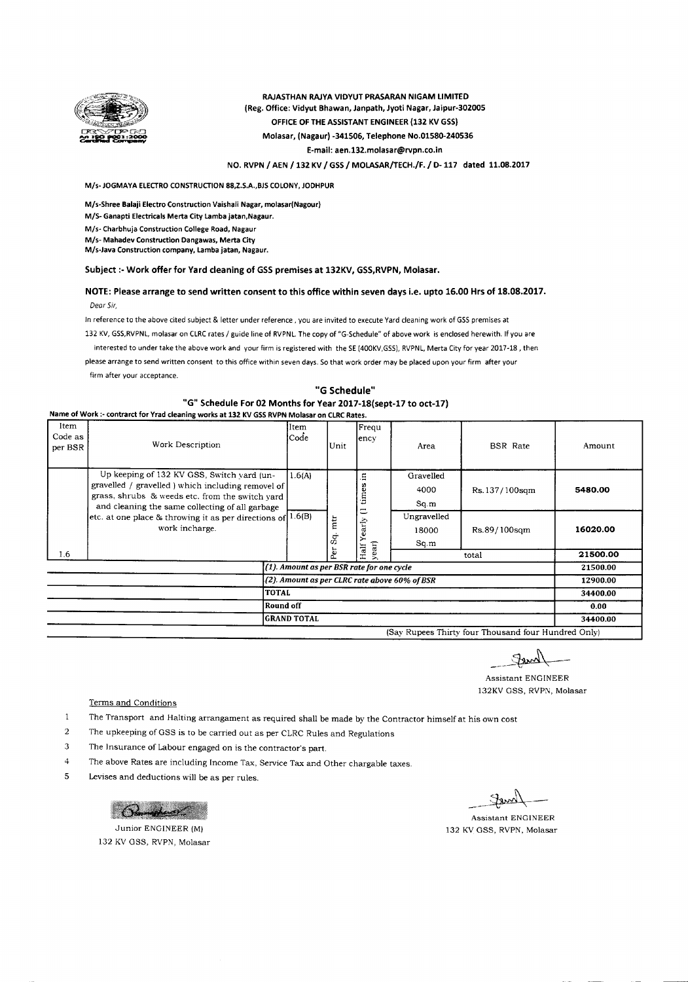

RAJASTHAN RAJYA VIDYUT PRASARAN NIGAM LIMITED (Reg. Office: Vidyut Bhawan, Janpath, Jyoti Nagar, Jaipur-302005 OFFICE OF THE ASSISTANT ENGINEER (132 KV GSS) Molasar, (Nagaur) -341506, Telephone NO.015S0-240536 E-mail: aen.132.molasar@rvpn.co.in

NO. RVPN / AEN /132 KV / GSS / MOLASAR/TECH./F./ 0-117 dated 11.0S.2017

*M/s-* JOGMAYA ELECTROCONSTRUCTION88,Z.S.A.,BJSCOLONY,JODHPUR

M/s-Shree Balaji Electro Construction Vaishali Nagar, molasar(Nagour)

*M/S-* Ganapti Electricals Merta City Lamba jatan,Nagaur.

*M/s-* Charbhuja Construction College Road, Nagaur

*M/s-* Mahadev Construction Oangawas, Merta City

M/s-Java Construction company, Lamba jatan, Nagaur.

Subject :- Work offer for Yard cleaning of GSS premises at 132KV, GSS, RVPN, Molasar.

#### NOTE: Please arrange to send written consent to this office within seven days i.e. upto 16.00 Hrs of 18.08.2017. *Dear Sir,*

In reference to the above cited subject & letter under reference. you are invited to execute Yard cleaning work of GSS premises at

132 KV,GSS,RVPNL,molasar on CLRCrates / guide line of RVPNL.The copy of "G-Schedule" of above work is enclosed herewith. If you are

interested to under take the above work and your firm is registered with the SE (400KV,GSS), RVPNL, Merta City for year 2017-18, then

please arrange to send written consent to this office within seven days. Sothat work order may be placed upon your firm after your

firm after your acceptance.

Name of Work '- contrarct for Yrad cleaning works at 132 KV GSSRVPN Molasar on CLRCRates

### "G Schedule" "G" Schedule For 02 Months for Year 2017-18(sept-17 to oct-17)

| wanted to work . Contract for from creating works at 192 KV G33 KVPN injuidsal UII CERC Rates. |                                                                                                                                                                                                        |               |                    |               |                              |                 |          |  |  |  |  |
|------------------------------------------------------------------------------------------------|--------------------------------------------------------------------------------------------------------------------------------------------------------------------------------------------------------|---------------|--------------------|---------------|------------------------------|-----------------|----------|--|--|--|--|
| Item<br>Code as<br>per BSR                                                                     | Work Description                                                                                                                                                                                       | Item<br> Code | Unit               | Frequ<br>ency | Area                         | <b>BSR</b> Rate | Amount   |  |  |  |  |
|                                                                                                | Up keeping of 132 KV GSS, Switch vard (un-<br>gravelled / gravelled ) which including removel of<br>grass, shrubs & weeds etc. from the switch vard<br>and cleaning the same collecting of all garbage |               | 1.6(A)             | Ξ<br>c<br>Ě   | Gravelled<br>4000<br>Sq.m    | Rs.137/100sqm   | 5480.00  |  |  |  |  |
|                                                                                                | etc. at one place & throwing it as per directions of $1.6(B)$<br>work incharge.                                                                                                                        |               | mtr<br>$S_{\rm q}$ | ゠<br>early    | Ungravelled<br>18000<br>Sq.m | Rs.89/100sqm    | 16020.00 |  |  |  |  |
| 1.6                                                                                            |                                                                                                                                                                                                        |               | Per                | year)<br>Half |                              | total           | 21500.00 |  |  |  |  |
| (1). Amount as per BSR rate for one cycle                                                      |                                                                                                                                                                                                        |               |                    |               |                              |                 | 21500.00 |  |  |  |  |
| (2). Amount as per CLRC rate above 60% of BSR                                                  |                                                                                                                                                                                                        |               |                    |               |                              |                 | 12900.00 |  |  |  |  |
| <b>TOTAL</b>                                                                                   |                                                                                                                                                                                                        |               |                    |               |                              |                 | 34400.00 |  |  |  |  |
| <b>Round off</b>                                                                               |                                                                                                                                                                                                        |               |                    |               |                              |                 | 0.00     |  |  |  |  |
| <b>GRAND TOTAL</b>                                                                             |                                                                                                                                                                                                        |               |                    |               |                              |                 |          |  |  |  |  |

(Say Rupees Thirty four Thousand four Hundred Only)

 $-$  femal

Assistant ENGINEER 132KV GSS, RVPN, Molasar

Terms and Conditions

 $\mathbf{1}$ The Transport and Halting arrangament as required shall be made by the Contractor himself at his own cost

2 The upkeeping of GSS is to be carried out as per CLRC Rules and Regulations

- 3 The insurance of Labour engaged on is the contractor's part.
- 4 The above Rates are including Income Tax, Service Tax and Other chargable taxes.
- 5 Levises and deductions will be as per rules.

Brugher

Junior ENGINEER(M) 132 KV GSS, RVPN, Molasar

Iam

Assistant ENGINEER 132 KV GSS, RVPN, Molasar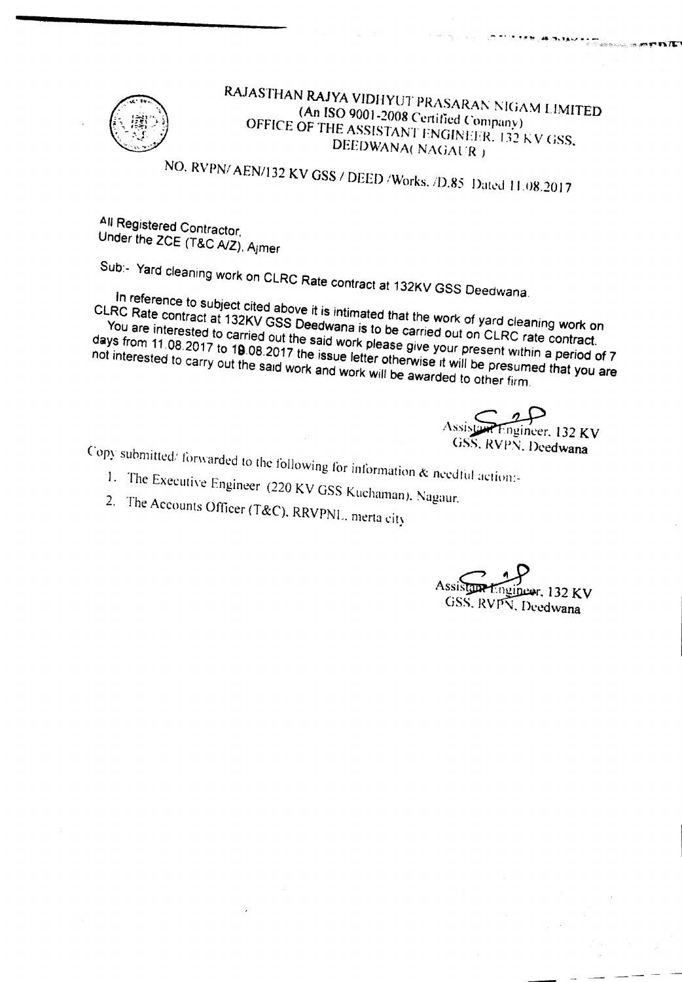

### RAJASTHAN RAJYA VIDHYUT PRASARAN NIGAM LIMITED (An ISO 9001-2008 Certified Company) OFFICE OF THE ASSISTANT ENGINEER. 132 KV GSS, DEEDWANA(NAGAUR)

NO. RVPN/AEN/132 KV GSS / DEED / Works. /D.85 Dated 11.08.2017

All Registered Contractor, Under the ZCE (T&C A/Z), Ajmer

Sub:- Yard cleaning work on CLRC Rate contract at 132KV GSS Deedwana.

In reference to subject cited above it is intimated that the work of yard cleaning work on CLRC Rate contract at 132KV GSS Deedwana is to be carried out on CLRC rate contract. You are interested to carried out the said work please give your present within a period of 7

days from 11.08.2017 to 19.08.2017 the issue letter otherwise it will be presumed that you are not interested to carry out the said work and work will be awarded to other firm.

neer,  $132$  KV GSS, RVPN, Deedwana

- Copy submitted/forwarded to the following for information & needful action:-1. The Executive Engineer (220 KV GSS Kuchaman), Nagaur.
	- 2. The Accounts Officer (T&C), RRVPNL, merta city
		-

er. 132 KV GSS, RVPN, Deedwana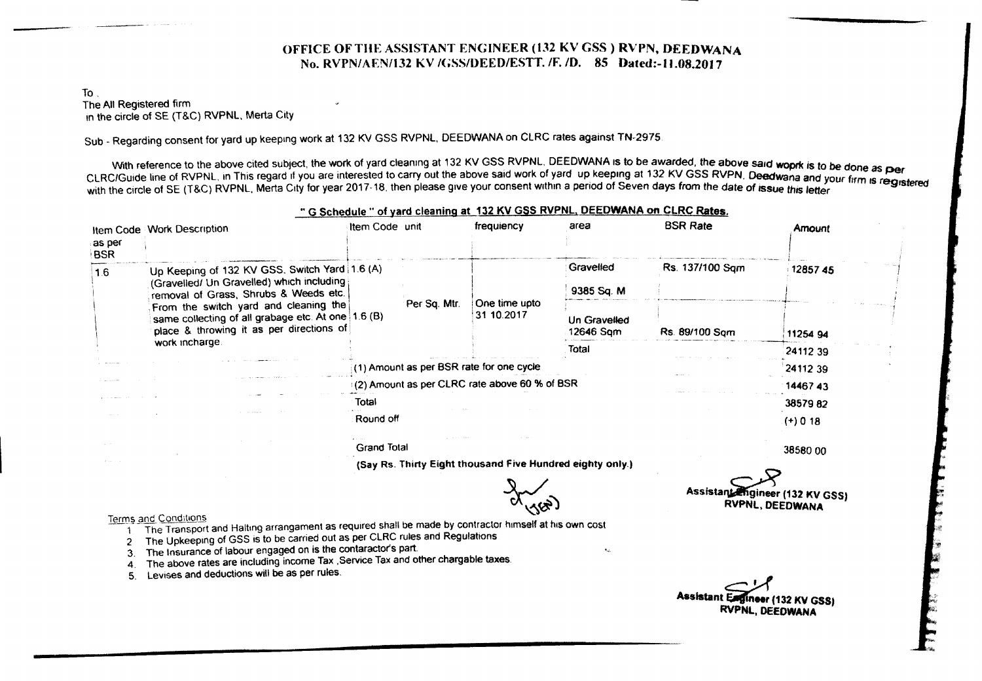### OFFICE OF THE ASSISTANT ENGINEER (132 KV GSS) RVPN, DEEDWANA No. RVPN/AENfl32 KV 1(;SSJl)EED/ESTT. *IF. 10.* 85 Dated:-lI.08.20J7

#### To. The All Registered firm in the circle of SE (T&C) RVPNL, Merta City

Sub - Regarding consent for yard up keeping work at 132 KV GSS RVPNL, DEEOWANA on CLRC rates against TN-2975.

With reference to the above cited subject, the work of yard cleaning at 132 KV GSS RVPNL, DEEDWANA is to be awarded, the above said woprk is to be done as per With reference to the above circu subject, the work of yard circums of the above said work of yard up keeping at 132 KV GSS RVPN. Deedwana and your firm is registered.<br>CLRC/Guide line of RVPNL, in This regard if you are in with the circle of SE (T&C) RVPNL. Merta City for year 2017-18. then please give your consent within a period of Seven days from the date of issue this letter

|                | Item Code Work Description                                                                                                              | Item Code unit                                            |              | frequiency                                    | area                      | <b>BSR Rate</b> | Amount     |
|----------------|-----------------------------------------------------------------------------------------------------------------------------------------|-----------------------------------------------------------|--------------|-----------------------------------------------|---------------------------|-----------------|------------|
| as per<br>⊦BSR |                                                                                                                                         |                                                           |              |                                               |                           |                 |            |
| 1.6            | Up Keeping of 132 KV GSS, Switch Yard 1.6 (A)<br>(Gravelled/ Un Gravelled) which including                                              |                                                           |              |                                               | Gravelled                 | Rs. 137/100 Sam | 1285745    |
|                | removal of Grass, Shrubs & Weeds etc.                                                                                                   |                                                           |              |                                               | 9385 Sq. M                |                 |            |
|                | From the switch yard and cleaning the<br>same collecting of all grabage etc. At one 1.6 (B)<br>place & throwing it as per directions of |                                                           | Per Sq. Mtr. | One time upto<br>31 10.2017                   | Un Gravelled<br>12646 Sam | Rs. 89/100 Sam  | 11254 94   |
|                | work incharge.                                                                                                                          |                                                           |              |                                               | Total                     |                 | 2411239    |
|                |                                                                                                                                         |                                                           |              | (1) Amount as per BSR rate for one cycle      |                           |                 | 24112 39   |
|                |                                                                                                                                         |                                                           |              | (2) Amount as per CLRC rate above 60 % of BSR |                           |                 | 1446743    |
|                |                                                                                                                                         | Total                                                     |              |                                               |                           |                 | 3857982    |
|                |                                                                                                                                         | Round off                                                 |              |                                               |                           |                 | $(+) 0 18$ |
|                |                                                                                                                                         | Grand Total                                               | 38580 00     |                                               |                           |                 |            |
|                |                                                                                                                                         | (Say Rs. Thirty Eight thousand Five Hundred eighty only.) |              |                                               |                           |                 |            |

### " G Schedule " of yard cleaning at 132 KV GSS RVPNL, DEEDWANA on CLRC Rates.

 $\sim$ 

- Terms and Conditions<br>1. The Transport and Halting arrangament as required shall be made by contractor himself at his own cost
	- 2 The Upkeeping of GSS is to be carried out as per CLRC rules and Regulations.
	- 3. The Insurance of labour engaged on is the contaractor's part.
	- 4. The above rates are including income Tax , Service Tax and other chargable taxes.
	- 5. Levises and deductions will be as per rules.

Assistant Engineer (132 KV GSS) RVPNl, DEeOWANA

Assistant Engineer (132 KV GSS) RVPNL. DEEOWANA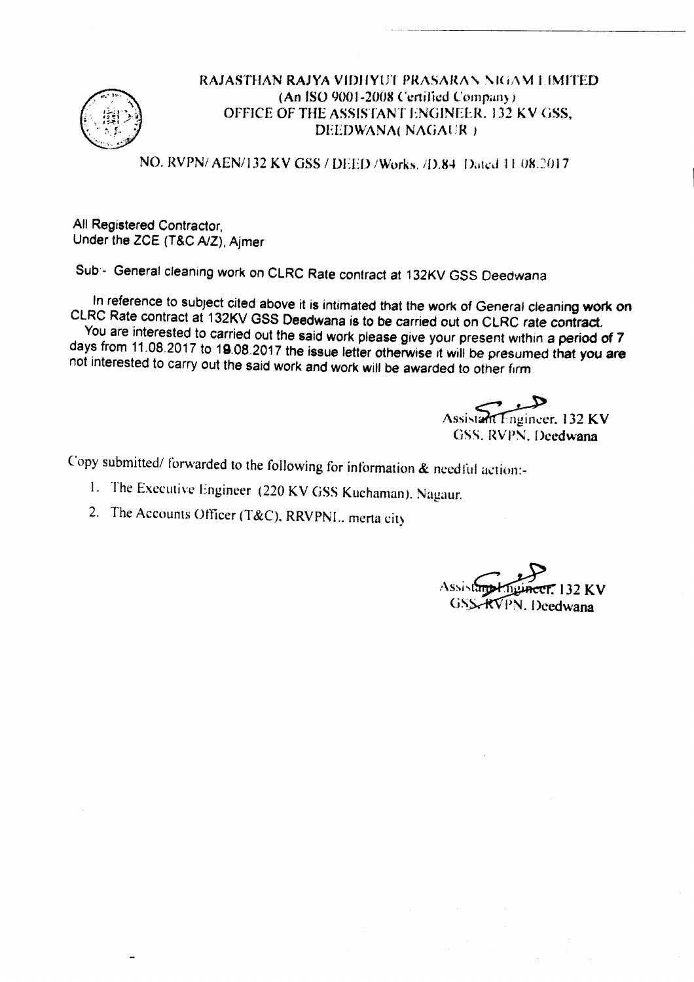

### RAJASTHAN RAJYA VIDHYUT PRASARAN NIGAM LIMITED (An ISO 9001·2008 Certified Company) OFFICE OF THE ASSISTANT ENGINEER. 132 KV GSS, DEEDWANA( NAGAUR )

· \_ \_.. \_-------------

NO, RVPN/ AEN/132 KV GSS / DEED / Works. */*D.84 Dated 11.08.2017

All Registered Contractor, Under the ZCE (T&C *AlZ),* Ajmer

Sub'· General cleaning work on CLRC Rate contract at 132KV GSS Deedwana

In reference to subject cited above it is intimated that the work of General cleaning work on CLRC Rate contract at 132KV GSS Deedwana is to be carried out on CLRC rate contract. You are interested to carried out the said work please give your present within a period of 7 days from 11.08.2017 to 19.08.2017 the issue letter otherwise it will be presumed that you are not interested to carry out the said work and work will be awarded to other firm

Assistant Engineer, 132 KV GSS. RVPN. Deedwana

Copy submitted/ forwarded to the following for information  $\&$  needful action:-

- I. The Executive Engineer (220 KV GSS Kuchaman). Nagaur.
- 2. The Accounts Officer (T&C), RRVPNL. merta city

T 132 KV GSS-RVPN. Deedwana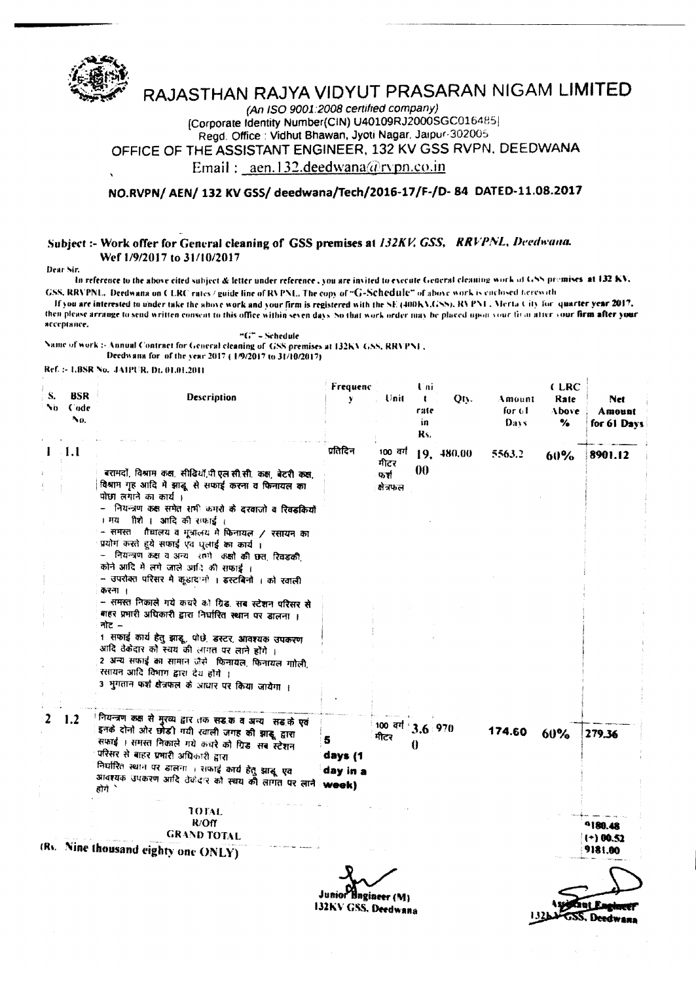

## RAJASTHAN RAJYA VIDYUT PRASARAN NIGAM LIMITED

(An ISO 9001:2008 certified company) [Corporate Identity Number(CIN) U40109RJ2000SGC016485] Regd. Office: Vidhut Bhawan, Jyoti Nagar, Jaipur-302005 OFFICE OF THE ASSISTANT ENGINEER, 132 KV GSS RVPN, DEEDWANA

Email: aen.132.deedwana@rvpn.co.in

NO.RVPN/ AEN/ 132 KV GSS/ deedwana/Tech/2016-17/F-/D-84 DATED-11.08.2017

### Subject :- Work offer for General cleaning of GSS premises at 132KV, GSS, RRVPNL, Deedwana. Wef 1/9/2017 to 31/10/2017

Dear Sir.

In reference to the above cited subject & letter under reference, you are invited to execute General cleaning work of GSS premises at 132 KV. GSS, RRVPNL. Deedwana on CLRC rates / guide line of RVPNL. The copy of "G-Schedule" of above work is cuclosed herewith

If you are interested to under take the above work and your firm is registered with the SE (400KX,GSS), RVPN1. Merta City for quarter year 2017, then please arrange to send written consent to this office within seven days. So that work order may be placed upon your to an after your firm after your яссеріянсе.

"G" - Schedule

Name of work :- Annual Contract for General cleaning of GSS premises at I32KV GSS, RRVPNL. Deedwana for of the year 2017 (1/9/2017 to 31/10/2017)

Ref. :- LBSR No. JAIPUR, Dt. 01.01.2011

| S.<br>No | <b>BSR</b><br>Code<br>Νо, | Description                                                                                                                                                                                                                                                                                                                                                                                                                                                                                                                                                                                                          | Frequenc<br>¥                                     | Unit                     | Uni<br>÷<br>rate<br>in<br>Rs. | Qty.       | Amount<br>for $61$<br>Days | (LRC<br>Rate<br>Above<br>% | Net<br>Amount<br>for 61 Days      |
|----------|---------------------------|----------------------------------------------------------------------------------------------------------------------------------------------------------------------------------------------------------------------------------------------------------------------------------------------------------------------------------------------------------------------------------------------------------------------------------------------------------------------------------------------------------------------------------------------------------------------------------------------------------------------|---------------------------------------------------|--------------------------|-------------------------------|------------|----------------------------|----------------------------|-----------------------------------|
|          |                           |                                                                                                                                                                                                                                                                                                                                                                                                                                                                                                                                                                                                                      | प्रतिदिन                                          | 100 वर्ग<br>मीटर         |                               | 19, 480.00 | 5563.2                     | 60%                        | 8901.12                           |
|          |                           | बरामदों, विश्राम कक्ष, सीढियों,पी.एल.सी.सी. कक्ष, बेटरी कक्ष,<br>विश्राम गृह आदि में झाढू से सफाई करना व फिनायल का<br>पोछा लगाने का कार्य ।<br>- नियन्त्रण कक्ष समेत सभी कमरों के दरवाजों व रिवडकियों<br>। मय गौशे । आदि की सफाई ।<br>– समस्त - तैचालय व मूत्रालय में फिनायल / रसायन का<br>प्रयोग करते हुये सफाई एवं धुलाई का कार्य।<br>– नियन्त्रण कक्ष व अन्य समी कक्षों की छत् रिवडकी,<br>कोने आदि में लगे जाले आदि की सफाई ।<br>- उपरोक्त परिसर में कूडादानों । इस्टबिनों । को रवाली<br>करना ।<br>- समस्त निकाले गये कचरे को ग्रिड, सब स्टेशन परिसर से<br>बाहर प्रभारी अधिकारी द्वारा निर्धारित स्थान पर डालना । |                                                   | फर्श<br>क्षेत्रफल        | 00                            |            |                            |                            |                                   |
|          |                           | ৰাত –<br>1 सफाई कार्य हेतु झाडू, पोछे. डस्टर, आवश्यक उपकरण<br>आदि ठेकेदार को स्वय की लागत पर लाने होंगे ।<br>2 अन्य सफाई का सामान जैसे। फिनायल, फिनायल गाोली,<br>रसायन आदि विभाग द्वारा देय होंगे ।<br>3 भुगतान फर्श क्षेत्रफल के आधार पर किया जायेगा ।                                                                                                                                                                                                                                                                                                                                                              |                                                   |                          |                               |            |                            |                            |                                   |
|          | 1.2                       | ंनियन्त्रण कक्ष से मुख्य द्वार तक सड.क व अन्य- सड.के एवं<br>इनके दोनो ओर छोड़ी गयी रवाली जगह की झाड़ू, द्वारा<br>सफाई । समस्त निकाले गये कचरे को ग्रिड. सब स्टेशन<br>परिसर से बाहर प्रभारी अधिकारी द्वारा<br>निर्घारित स्थान पर डालना । सफाई कार्य हेतु झाडू <i>ए</i> व<br>आवश्यक उपकरण आदि ठेकेदार को स्वयं को लागत पर लाने : week)<br>होगे े                                                                                                                                                                                                                                                                       | 5<br>days (1<br>day in a                          | 100 वर्ग 3.6 970<br>मीटर | 0                             |            | 174.60                     | 60%                        | 279.36                            |
|          |                           | TOTAL<br>R/Off<br><b>GRAND TOTAL</b><br>(Rs. Nine thousand eighty one ONLY)                                                                                                                                                                                                                                                                                                                                                                                                                                                                                                                                          |                                                   |                          |                               |            |                            |                            | 9180.48<br>$(+) 00.52$<br>9181.00 |
|          |                           |                                                                                                                                                                                                                                                                                                                                                                                                                                                                                                                                                                                                                      | Junior Bagineer (M)<br><b>132KV GSS, Deedwana</b> |                          |                               |            |                            |                            |                                   |

1.12 MGSS, Deedwann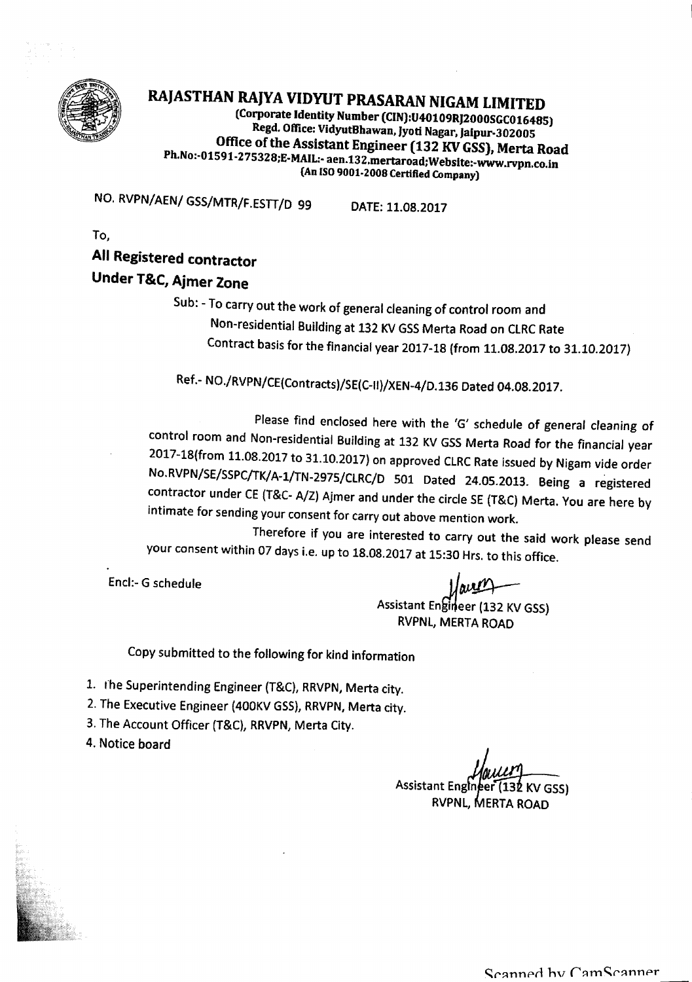

# RAJASTHAN RAJYA VIDYUT PRASARAN NIGAM LIMITED

(Corporate Identity Number (CIN):U40109RJ2000SGC016485) Regd. Office: VidyutBhawan, Jyoti Nagar, Jaipur-302005 Office of the Assistant Engineer (132 KV GSS), Merta Road Ph.No:-Ol 591-275328;E-MAIL:- aen.132.mertaroad;Website:-www.rvpn.co.in (An ISO9001-2008 Certified Company)

NO. RVPN/AEN/ GSS/MTR/F.ESTT/D <sup>99</sup> DATE:11.08.2017

To,

### All Registered contractor

### Under T&C, Ajmer Zone

Sub: - To carry out the work of general cleaning of control room and Non-residential Building at 132 KVGSSMerta Road on ClRC Rate Contract basis for the financial year 2017-18 (from 11.08.2017 to 31.10.2017)

Ref.- NO./RVPN/CE(Contracts)/SE(C-II)/XEN-4/D.136 Dated 04.08.2017.

Please find enclosed here with the 'G' schedule of general cleaning of control room and Non-residential Building at 132 KV GSS Merta Road for the financial year 2017-1B(from 11.0B.2017to 31.10.2017) on approved ClRC Rate issued by Nigam vide order No.RVPN/SE/SSPC/TK/A-1/TN-297S!ClRC/D 501 Dated 24.0S.2013. Being a registered contractor under CE(T&C-*A/Z)* Ajmer and under the circle SE(T&C) Merta. You are here by intimate for sending your consent for carry out above mention work.

Therefore if you are interested to carry out the said work please send your consent within 07 days i.e. up to IB.OB.2017at 15:30 Hrs. to this office.

Encl.- G schedule

Assistant Engineer (132 KV GSS) RVPNL, MERTA ROAD

Copy submitted to the following for kind information

- 1. The Superintending Engineer (T&C), RRVPN, Merta city.
- 2. The Executive Engineer (400KV GSS), RRVPN, Merta city.
- 3. The Account Officer (T&C), RRVPN, Merta City.
- 4. Notice board

Assistant Engineer 2 KV GSS) RVPNL, MERTA ROAD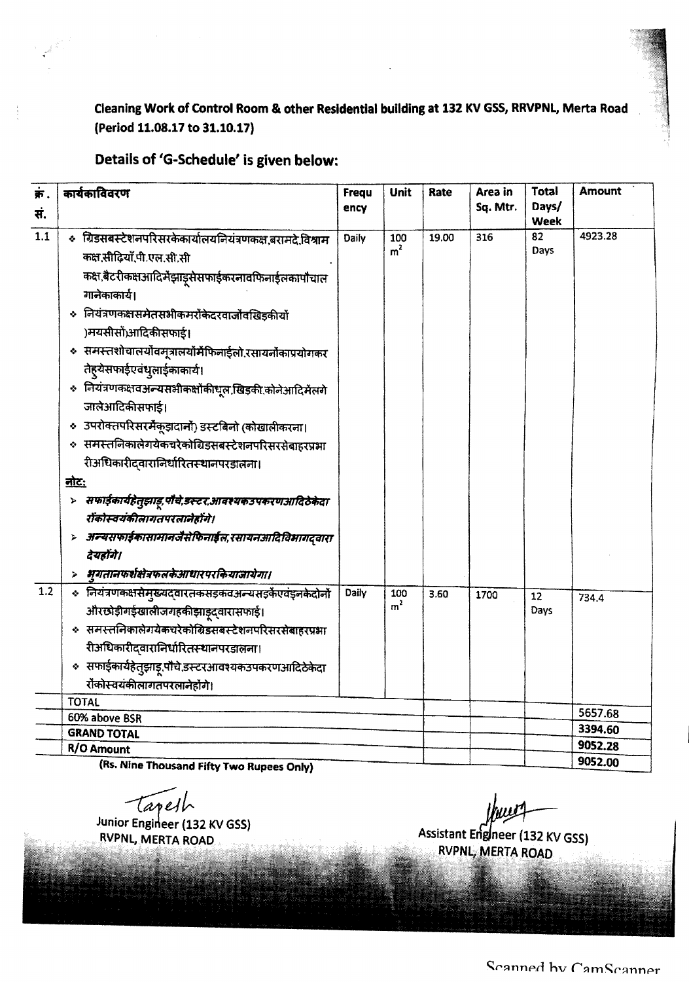Cleaning Work of Control Room & other Residential building at 132 KV GSS, RRVPNL, Merta Road (Period 11.08.17 to 31.10.17)

### Details of 'G-Schedule' is given below:

| क.<br>स. | कार्यकाविवरण                                                                                                                                                                                                                                                                                                                                                                                            | <b>Frequ</b><br>ency | Unit                  | Rate  | Area in<br>Sq. Mtr. | Total<br>Days/<br>Week | <b>Amount</b> |
|----------|---------------------------------------------------------------------------------------------------------------------------------------------------------------------------------------------------------------------------------------------------------------------------------------------------------------------------------------------------------------------------------------------------------|----------------------|-----------------------|-------|---------------------|------------------------|---------------|
| 1.1      | « ग्रिडसबस्टेशनपरिसरकेकार्यालयनियंत्रणकक्ष,बरामदे,विश्राम<br>कक्ष,सीढियाँ,पी.एल.सी.सी<br>कक्ष,बैटरीकक्षआदिर्मेझाड्सेसफाईकरनावफिनाईलकापौचाल<br>गानेकाकार्य।<br>◆ नियंत्रणकक्षसमेतसभीकमरोंकेदरवाजोंवखिड़कीयों<br>)मयसीसों)आदिकीसफाई।<br>« समस्तशोचालयोवमूत्रालयोर्मेफिनाईलो.रसायर्नोकाप्रयोगकर<br>तेह्येसफाईएवंध्लाईकाकार्य।<br>÷ नियंत्रणकक्षवअन्यसभीकक्षोंकीधूल,खिड़की,कोनेआदिर्मेलगे<br>जालेआदिकीसफाई। | Daily                | 100<br>m <sup>2</sup> | 19.00 | 316                 | 82<br>Days             | 4923.28       |
|          | ० उपरोक्तपरिसरमैकूड़ादानों) डस्टबिनो (कोखालीकरना।<br>« समस्तलिकालेगयेकचरेकोग्रिडसबस्टेशनपरिसरसेबाहरप्रभा<br>रीअधिकारीदवारानिर्धारितस्थानपरडालना।                                                                                                                                                                                                                                                        |                      |                       |       |                     |                        |               |
|          | <u>नोटः</u>                                                                                                                                                                                                                                                                                                                                                                                             |                      |                       |       |                     |                        |               |
|          | सफाईकार्यहेतुझाडू पौचे,डस्टर,आवश्यकउपकरणआदिठेकेदा<br>Þ<br>रॉकोस्वयंकीलागतपरलानेहोंगे।<br>> अन्यसफाईकासामानजैसेफिनाईल,रसायनआदिविभागद्वारा<br>देयहोंगे।                                                                                                                                                                                                                                                   |                      |                       |       |                     |                        |               |
|          | भूगतानफर्शक्षेत्रफलकेआधारपरकियाजायेगा।                                                                                                                                                                                                                                                                                                                                                                  |                      |                       |       |                     |                        |               |
| 1.2      | « नियंत्रणकक्षसेमुख्यद्वारतकसड़कवअन्यसड़केंएवंड्नकेदोनों<br>औरछोड़ीगईखालीजगहकीझाड़ूद्वारासफाई।<br>* समस्तनिकालेगयेकचरेकोग्रिडसबस्टेशनपरिसरसेबाहरप्रभा<br>रीअधिकारीदवारानिर्धारितस्थानपरडालना।                                                                                                                                                                                                           | Daily                | 100<br>m <sup>2</sup> | 3.60  | 1700                | 12<br>Days             | 734.4         |
|          | ◆ सफाईकार्यहेतुझाडू.पौचे.डस्टरआवश्यकउपकरणआदिठेकेदा<br>रोंकोस्वयंकीलागतपरलानेहोंगे।                                                                                                                                                                                                                                                                                                                      |                      |                       |       |                     |                        |               |
|          | <b>TOTAL</b><br>60% above BSR                                                                                                                                                                                                                                                                                                                                                                           |                      |                       |       |                     |                        | 5657.68       |
|          | <b>GRAND TOTAL</b>                                                                                                                                                                                                                                                                                                                                                                                      |                      |                       |       |                     |                        | 3394.60       |
|          | <b>R/O Amount</b>                                                                                                                                                                                                                                                                                                                                                                                       |                      |                       |       |                     |                        | 9052.28       |
|          | iRC Nina Thourand Eife, Ture Duncas Oaks                                                                                                                                                                                                                                                                                                                                                                |                      |                       |       |                     |                        | 9052.00       |

Thousand Fifty Two Rupees Only) ?

Tapelh

Junior Engineer (132 KV GSS) RVPNL, MERTA ROAD

Assistant Engineer (132 KV GSS)

RVPNL, MERTA ROAD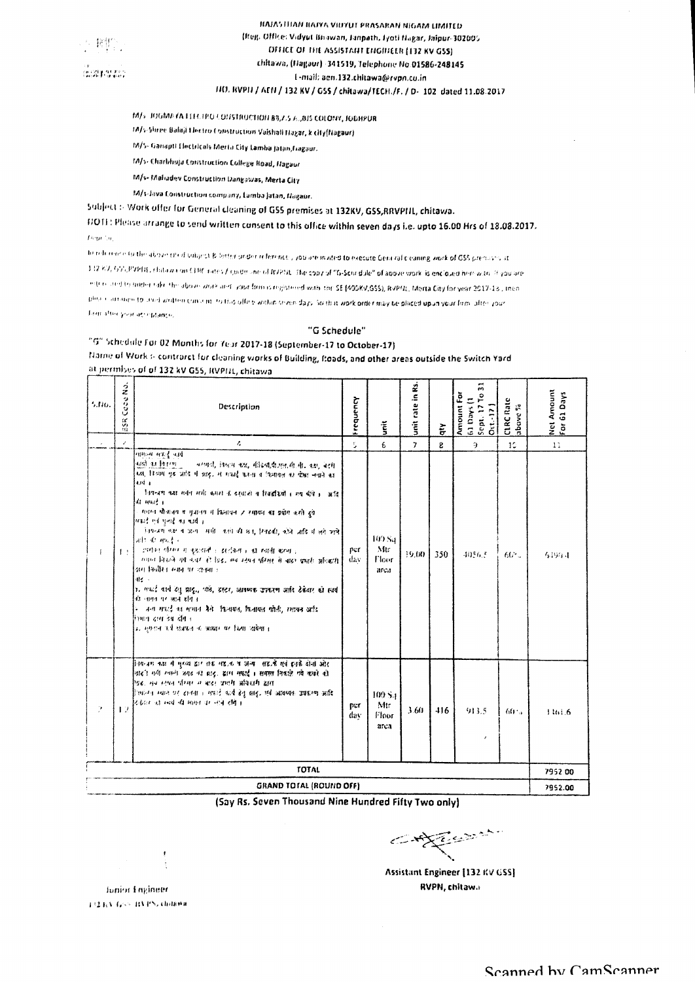

### HAJASTITAN BAJYA VIUYUT PRASARAN NIGAM LIMITED (Reg. Office: Vidyut Briswan, Janpath, Iyoti Hagar, Jaipur-302005 OFFICE OF THE ASSISTANT ENGINEER (132 KV GSS) chitawa, (Hagaur) -341519, Telephone No.01586-248145 1-mail: aen.132.chitawa@rvpn.cu.in FIO. BVPTI / AEFI / 132 KV / GSS / chitawa/TECH./F. / D- 102 dated 11.08.2017

- 
- M/s. JOGMA /A LELLIPO LONSTRUCTION 83,7.5 A.,815 COLONY, JODHPUR 14/s-Shree Balaji Llectro Construction Vaishali Hagar, k city(Nagaur)
- M/S- Ganapti Electricals Mertu City Lamba Jatan,fragaur.
- 14/5- Chartihuja Construction College Road, Hagaur
- M/s- Maliadev Construction Dangawas, Merta City
- M/s-Java Construction company, Lamba Jatan, Nagaur.
- Subject :- Work offer for General cleaning of GSS premises at 132KV, GSS,RRVPHL, chitawa.

FIOTE: Please arrange to send written consent to this office within seven days i.e. upto 16.00 Hrs of 18.08.2017. Team for

To relember to the above sted villags & lotter under reference, you are mated to execute General sleaming work of GSS precises at 132 KV, GV, PVPHE, chitawa on CERC rates/ goderune of RVPSE. The copy of "G-Schridule" of apove work is encloued here with 10 you are internated to under take the above work and your forms registered with the SE (400KV,GSS), RVPNt, Merta City for year 2017-18 , then plus contained to and written contain to this uffers within their days So that work order may be placed upon your form after your Time after your attributions.

#### "G Schedule"

### "G" Schedule For 02 Months for Year 2017-18 (September-17 to October-17) Name of Work :- contrarct for cleaning works of Building, Roads, and other areas outside the Switch Yard at permises of of 132 kV GSS, RVPIIL, chitawa

| 5.flo.       | Cabe No.<br>in<br>19 | Description                                                                                                                                                                                                                                                                                                                                                                                                                                                                                                                                                                                                                                                                                                                                                                                                                                                              | Frequency   | $\tilde{\tilde{\xi}}$                      | rate in Rs.<br>$\ddot{\tilde{\mathbf{s}}}$ | ξ            | $\tilde{\phantom{a}}$<br>Amount For<br>$\frac{1}{2}$<br>$\frac{1}{2}$<br>$\frac{1}{2}$<br>$\frac{1}{2}$<br>$\frac{1}{2}$<br>$\frac{1}{2}$<br>$\frac{1}{2}$<br>$\frac{1}{2}$<br>$\frac{1}{2}$<br>$\frac{1}{2}$<br>$\frac{1}{2}$<br>$\frac{1}{2}$<br>$\frac{1}{2}$<br>$\frac{1}{2}$<br>$\frac{1}{2}$<br>$\frac{1}{2}$<br>$\frac{1}{2}$<br>$\frac{1}{2}$<br>$\frac{1}{2}$<br>$\frac{1}{2}$<br> | CLRC Rate<br>above % | Net Amount<br>For 61 Days |
|--------------|----------------------|--------------------------------------------------------------------------------------------------------------------------------------------------------------------------------------------------------------------------------------------------------------------------------------------------------------------------------------------------------------------------------------------------------------------------------------------------------------------------------------------------------------------------------------------------------------------------------------------------------------------------------------------------------------------------------------------------------------------------------------------------------------------------------------------------------------------------------------------------------------------------|-------------|--------------------------------------------|--------------------------------------------|--------------|---------------------------------------------------------------------------------------------------------------------------------------------------------------------------------------------------------------------------------------------------------------------------------------------------------------------------------------------------------------------------------------------|----------------------|---------------------------|
|              | z                    | ı.                                                                                                                                                                                                                                                                                                                                                                                                                                                                                                                                                                                                                                                                                                                                                                                                                                                                       | s.          | 6                                          | $\overline{7}$                             | $\mathbf{g}$ | G.                                                                                                                                                                                                                                                                                                                                                                                          | 10                   | 11                        |
| $\mathbf{I}$ | 1:1                  | मामन्त्र सफ़र्दू जार्थ<br>कड़ी का किस्मान<br>वरणये, विश्वम कप्त, सीढयो,पीउल,सी.सी. कम, बटमे<br>ध्या, विश्रम गृह आदि में आद, से मधाई करना व किमायल का पीछा लगाने का<br>4.14 a<br>नियन्त्रण कहा समेन सभी कमंत्री के बरुवासी व रिवड़कियों । मध बीधे । अदि<br>協 中国 1<br>मतान मौजलय व गुजानय में किनायल 7 रसायन का प्रयोग करते हुये<br>યવારે હતે પુરુષે જો પાસી ક<br>नियन्त्रण कष्ट च अन्य समी करने की छा, तिकडी, कोने जाति में लगे जाते  <br>測 石油建。<br>ामान गेम्म में इरुयते । इंटोक्स है से स्वती बन्ना है<br>स्थान निकले गये गयेर ही दिई, मब स्टेमन परिसर से बाहर प्रभारी अधिकारी<br> अम् स्थिति सम्बन्धः अस्य ।<br>l⊲ie ⊹<br>ाः एकःई कार्य हेतु ब्राह्,, पार्स, इस्टर, आवष्यक उपकरण आदि हेकैदार को स्वयं<br>कि चलन पर अपने संग ।<br>ि जन्म मधर्द का समान कैंगे। किनापल, किनापल पोली, रसायन आदि<br>रिभाग दास उब होग ।<br>उ. मुस्तान पर्व संवाहन ने अस्थार पर किया शर्ममा । | per<br>dav  | 109 Su<br>Mtr<br>Floor<br>arca             | 9.00                                       | 350          | 40563                                                                                                                                                                                                                                                                                                                                                                                       | $60^{\circ}$ .       | <b>な190.4</b>             |
| D,           | 12                   | िष्टवर का वै मुख्य है। तर वह अपने अपने अपने स्टेम्बई देनों और<br>नाइने गयी स्थलने जगह की हाथ, डाम महाई । समस्त निकाले गये काफो की<br>ेवढ़, मुंब स्टेम्बर परिवार से बाहर प्राप्ती अविश्वासी क्षांत<br>िष्कांग्न स्थान पर राजना । मपाई कार्य हेनू झाढू, एवं आवव्यक उपाधम्म अधि<br>रिकेश का मय की मामत पर नप्ते होते ।                                                                                                                                                                                                                                                                                                                                                                                                                                                                                                                                                      | per<br>dav. | 100 S <sub>4</sub><br>Mir<br>Floor<br>arca | 3.60                                       | 416          | 913.5<br>$\mathcal I$                                                                                                                                                                                                                                                                                                                                                                       | $60 -$               | 1361.6                    |
|              |                      | <b>TOTAL</b>                                                                                                                                                                                                                                                                                                                                                                                                                                                                                                                                                                                                                                                                                                                                                                                                                                                             |             |                                            |                                            |              |                                                                                                                                                                                                                                                                                                                                                                                             |                      | 7952.00                   |
|              |                      | GRAND TOTAL (ROUND OFF)                                                                                                                                                                                                                                                                                                                                                                                                                                                                                                                                                                                                                                                                                                                                                                                                                                                  |             |                                            |                                            |              |                                                                                                                                                                                                                                                                                                                                                                                             |                      | 7952.00                   |

(Say Rs. Seven Thousand Nine Hundred Fifty Two only)

 $\left\langle \mathcal{L} \right\rangle = \left\langle \mathcal{L} \right\rangle = \left\langle \mathcal{L} \right\rangle$ 

Assistant Engineer [132 KV GSS] RVPN, chitawa

Junior Engineer 132 KV Good BVPS, children